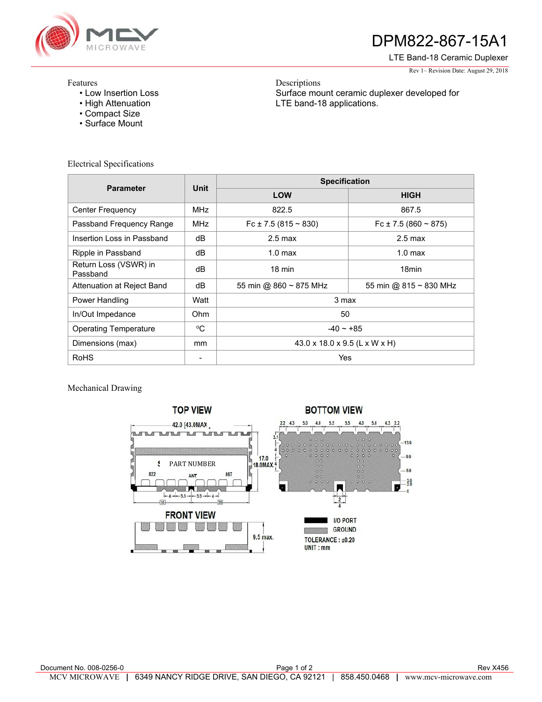

## DPM822-867-15A1

LTE Band-18 Ceramic Duplexer

Rev 1– Revision Date: August 29, 2018

## Features

- Low Insertion Loss
- High Attenuation
- Compact Size
- Surface Mount

Electrical Specifications

Descriptions Surface mount ceramic duplexer developed for LTE band-18 applications.

| <b>Parameter</b>                  | Unit          | <b>Specification</b>           |                                |
|-----------------------------------|---------------|--------------------------------|--------------------------------|
|                                   |               | <b>LOW</b>                     | <b>HIGH</b>                    |
| <b>Center Frequency</b>           | <b>MHz</b>    | 822.5                          | 867.5                          |
| Passband Frequency Range          | <b>MHz</b>    | Fc ± 7.5 (815 $\sim$ 830)      | Fc $\pm$ 7.5 (860 ~ 875)       |
| Insertion Loss in Passband        | dВ            | $2.5 \text{ max}$              | $2.5 \text{ max}$              |
| Ripple in Passband                | dB            | $1.0 \text{ max}$              | 1.0 <sub>max</sub>             |
| Return Loss (VSWR) in<br>Passband | dB            | $18 \text{ min}$               | 18 <sub>min</sub>              |
| Attenuation at Reject Band        | dB            | 55 min @ $860 \approx 875$ MHz | 55 min @ $815 \approx 830$ MHz |
| Power Handling                    | Watt          | 3 max                          |                                |
| In/Out Impedance                  | Ohm           | 50                             |                                |
| <b>Operating Temperature</b>      | °C            | $-40 - +85$                    |                                |
| Dimensions (max)                  | <sub>mm</sub> | 43.0 x 18.0 x 9.5 (L x W x H)  |                                |
| <b>RoHS</b>                       | ٠             | Yes                            |                                |

Mechanical Drawing